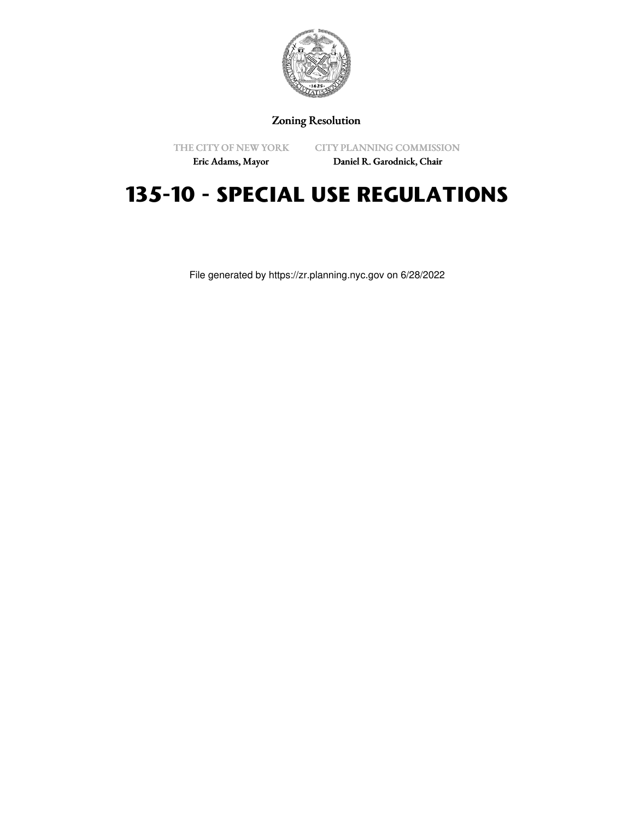

# Zoning Resolution

THE CITY OF NEW YORK Eric Adams, Mayor

CITY PLANNING COMMISSION

Daniel R. Garodnick, Chair

# **135-10 - SPECIAL USE REGULATIONS**

File generated by https://zr.planning.nyc.gov on 6/28/2022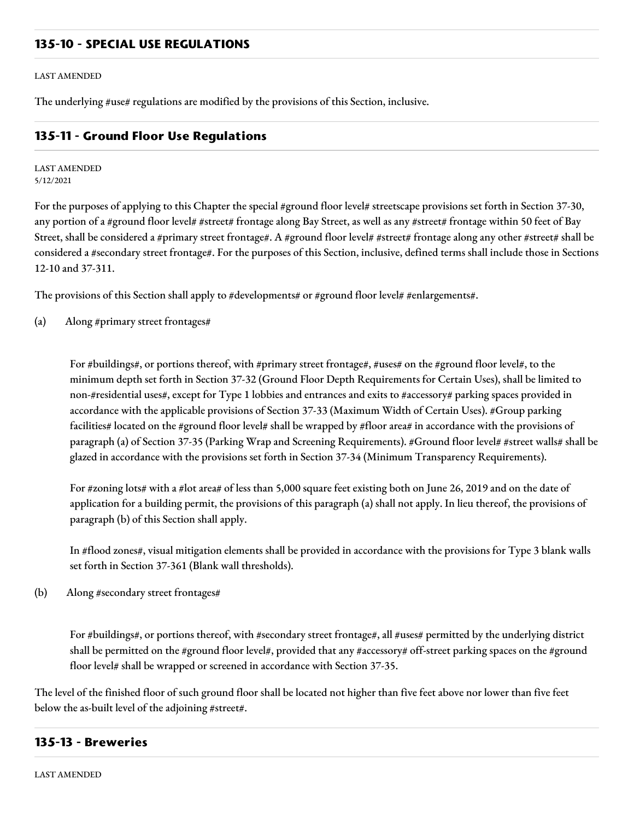## **135-10 - SPECIAL USE REGULATIONS**

#### LAST AMENDED

The underlying #use# regulations are modified by the provisions of this Section, inclusive.

## **135-11 - Ground Floor Use Regulations**

### LAST AMENDED 5/12/2021

For the purposes of applying to this Chapter the special #ground floor level# streetscape provisions set forth in Section 37-30, any portion of a #ground floor level# #street# frontage along Bay Street, as well as any #street# frontage within 50 feet of Bay Street, shall be considered a #primary street frontage#. A #ground floor level# #street# frontage along any other #street# shall be considered a #secondary street frontage#. For the purposes of this Section, inclusive, defined terms shall include those in Sections 12-10 and 37-311.

The provisions of this Section shall apply to #developments# or #ground floor level# #enlargements#.

(a) Along #primary street frontages#

For #buildings#, or portions thereof, with #primary street frontage#, #uses# on the #ground floor level#, to the minimum depth set forth in Section 37-32 (Ground Floor Depth Requirements for Certain Uses), shall be limited to non-#residential uses#, except for Type 1 lobbies and entrances and exits to #accessory# parking spaces provided in accordance with the applicable provisions of Section 37-33 (Maximum Width of Certain Uses). #Group parking facilities# located on the #ground floor level# shall be wrapped by #floor area# in accordance with the provisions of paragraph (a) of Section 37-35 (Parking Wrap and Screening Requirements). #Ground floor level# #street walls# shall be glazed in accordance with the provisions set forth in Section 37-34 (Minimum Transparency Requirements).

For #zoning lots# with a #lot area# of less than 5,000 square feet existing both on June 26, 2019 and on the date of application for a building permit, the provisions of this paragraph (a) shall not apply. In lieu thereof, the provisions of paragraph (b) of this Section shall apply.

In #flood zones#, visual mitigation elements shall be provided in accordance with the provisions for Type 3 blank walls set forth in Section 37-361 (Blank wall thresholds).

(b) Along #secondary street frontages#

For #buildings#, or portions thereof, with #secondary street frontage#, all #uses# permitted by the underlying district shall be permitted on the #ground floor level#, provided that any #accessory# off-street parking spaces on the #ground floor level# shall be wrapped or screened in accordance with Section 37-35.

The level of the finished floor of such ground floor shall be located not higher than five feet above nor lower than five feet below the as-built level of the adjoining #street#.

## **135-13 - Breweries**